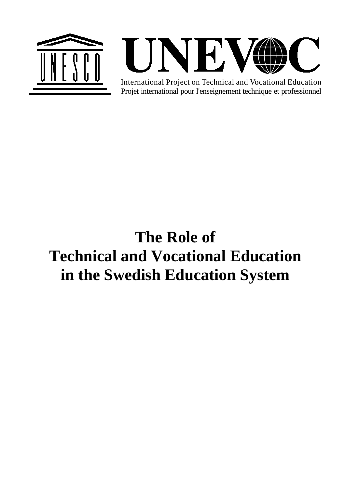



Projet international pour l'enseignement technique et professionnel International Project on Technical and Vocational Education

# **The Role of Technical and Vocational Education in the Swedish Education System**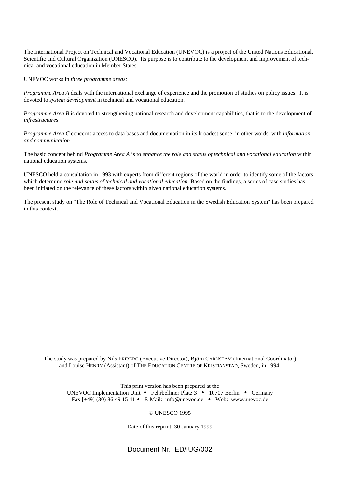The International Project on Technical and Vocational Education (UNEVOC) is a project of the United Nations Educational, Scientific and Cultural Organization (UNESCO). Its purpose is to contribute to the development and improvement of technical and vocational education in Member States.

UNEVOC works in *three programme areas:*

*Programme Area A* deals with the international exchange of experience and the promotion of studies on policy issues. It is devoted to *system development* in technical and vocational education.

*Programme Area B* is devoted to strengthening national research and development capabilities, that is to the development of *infrastructures*.

*Programme Area C* concerns access to data bases and documentation in its broadest sense, in other words, with *information and communication*.

The basic concept behind *Programme Area A* is to *enhance the role and status of technical and vocational education* within national education systems.

UNESCO held a consultation in 1993 with experts from different regions of the world in order to identify some of the factors which determine *role and status of technical and vocational education*. Based on the findings, a series of case studies has been initiated on the relevance of these factors within given national education systems.

The present study on "The Role of Technical and Vocational Education in the Swedish Education System" has been prepared in this context.

The study was prepared by Nils FRIBERG (Executive Director), Björn CARNSTAM (International Coordinator) and Louise HENRY (Assistant) of THE EDUCATION CENTRE OF KRISTIANSTAD, Sweden, in 1994.

This print version has been prepared at the UNEVOC Implementation Unit  $\bullet$  Fehrbelliner Platz 3  $\bullet$  10707 Berlin  $\bullet$  Germany Fax  $[+49]$  (30) 86 49 15 41 • E-Mail: info@unevoc.de • Web: www.unevoc.de

#### © UNESCO 1995

Date of this reprint: 30 January 1999

Document Nr. ED/IUG/002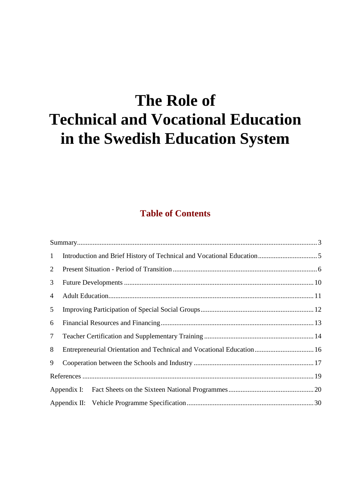# **The Role of Technical and Vocational Education in the Swedish Education System**

# **Table of Contents**

| $\mathbf{1}$    |                                                                       |  |
|-----------------|-----------------------------------------------------------------------|--|
| $\overline{2}$  |                                                                       |  |
| 3               |                                                                       |  |
| $\overline{4}$  |                                                                       |  |
| 5               |                                                                       |  |
| 6               |                                                                       |  |
| $7\overline{ }$ |                                                                       |  |
| 8               | Entrepreneurial Orientation and Technical and Vocational Education 16 |  |
| 9               |                                                                       |  |
|                 |                                                                       |  |
|                 |                                                                       |  |
|                 |                                                                       |  |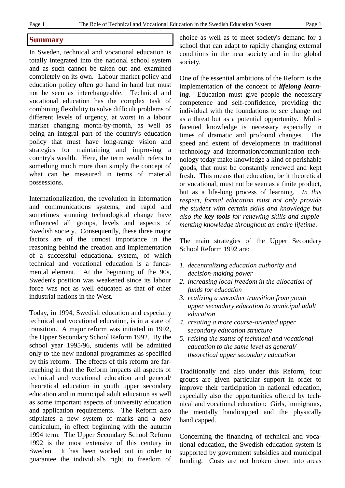# **Summary**

In Sweden, technical and vocational education is totally integrated into the national school system and as such cannot be taken out and examined completely on its own. Labour market policy and education policy often go hand in hand but must not be seen as interchangeable. Technical and vocational education has the complex task of combining flexibility to solve difficult problems of different levels of urgency, at worst in a labour market changing month-by-month, as well as being an integral part of the country's education policy that must have long-range vision and strategies for maintaining and improving a country's wealth. Here, the term wealth refers to something much more than simply the concept of what can be measured in terms of material possessions.

Internationalization, the revolution in information and communications systems, and rapid and sometimes stunning technological change have influenced all groups, levels and aspects of Swedish society. Consequently, these three major factors are of the utmost importance in the reasoning behind the creation and implementation of a successful educational system, of which technical and vocational education is a fundamental element. At the beginning of the 90s, Sweden's position was weakened since its labour force was not as well educated as that of other industrial nations in the West.

Today, in 1994, Swedish education and especially technical and vocational education, is in a state of transition. A major reform was initiated in 1992, the Upper Secondary School Reform 1992. By the school year 1995/96, students will be admitted only to the new national programmes as specified by this reform. The effects of this reform are farreaching in that the Reform impacts all aspects of technical and vocational education and general/ theoretical education in youth upper secondary education and in municipal adult education as well as some important aspects of university education and application requirements. The Reform also stipulates a new system of marks and a new curriculum, in effect beginning with the autumn 1994 term. The Upper Secondary School Reform 1992 is the most extensive of this century in Sweden. It has been worked out in order to guarantee the individual's right to freedom of choice as well as to meet society's demand for a school that can adapt to rapidly changing external conditions in the near society and in the global society.

One of the essential ambitions of the Reform is the implementation of the concept of *lifelong learning*. Education must give people the necessary competence and self-confidence, providing the individual with the foundations to see change not as a threat but as a potential opportunity. Multifacetted knowledge is necessary especially in times of dramatic and profound changes. The speed and extent of developments in traditional technology and information/communication technology today make knowledge a kind of perishable goods, that must be constantly renewed and kept fresh. This means that education, be it theoretical or vocational, must not be seen as a finite product, but as a life-long process of learning. *In this respect, formal education must not only provide the student with certain skills and knowledge but also the key tools for renewing skills and supplementing knowledge throughout an entire lifetime*.

The main strategies of the Upper Secondary School Reform 1992 are:

- *1. decentralizing education authority and decision-making power*
- *2. increasing local freedom in the allocation of funds for education*
- *3. realizing a smoother transition from youth upper secondary education to municipal adult education*
- *4. creating a more course-oriented upper secondary education structure*
- *5. raising the status of technical and vocational education to the same level as general/ theoretical upper secondary education*

Traditionally and also under this Reform, four groups are given particular support in order to improve their participation in national education, especially also the opportunities offered by technical and vocational education: Girls, immigrants, the mentally handicapped and the physically handicapped.

Concerning the financing of technical and vocational education, the Swedish education system is supported by government subsidies and municipal funding. Costs are not broken down into areas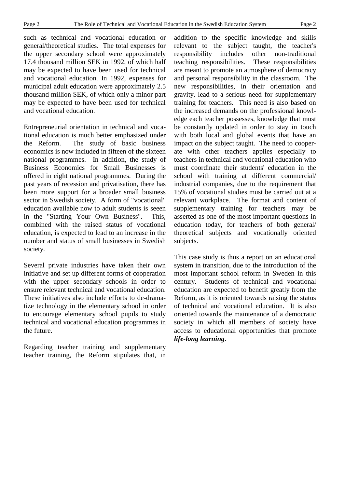such as technical and vocational education or general/theoretical studies. The total expenses for the upper secondary school were approximately 17.4 thousand million SEK in 1992, of which half may be expected to have been used for technical and vocational education. In 1992, expenses for municipal adult education were approximately 2.5 thousand million SEK, of which only a minor part may be expected to have been used for technical and vocational education.

Entrepreneurial orientation in technical and vocational education is much better emphasized under the Reform. The study of basic business economics is now included in fifteen of the sixteen national programmes. In addition, the study of Business Economics for Small Businesses is offered in eight national programmes. During the past years of recession and privatisation, there has been more support for a broader small business sector in Swedish society. A form of "vocational" education available now to adult students is seeen in the "Starting Your Own Business". This, combined with the raised status of vocational education, is expected to lead to an increase in the number and status of small businesses in Swedish society.

Several private industries have taken their own initiative and set up different forms of cooperation with the upper secondary schools in order to ensure relevant technical and vocational education. These initiatives also include efforts to de-dramatize technology in the elementary school in order to encourage elementary school pupils to study technical and vocational education programmes in the future.

Regarding teacher training and supplementary teacher training, the Reform stipulates that, in addition to the specific knowledge and skills relevant to the subject taught, the teacher's responsibility includes other non-traditional teaching responsibilities. These responsibilities are meant to promote an atmosphere of democracy and personal responsibility in the classroom. The new responsibilities, in their orientation and gravity, lead to a serious need for supplementary training for teachers. This need is also based on the increased demands on the professional knowledge each teacher possesses, knowledge that must be constantly updated in order to stay in touch with both local and global events that have an impact on the subject taught. The need to cooperate with other teachers applies especially to teachers in technical and vocational education who must coordinate their students' education in the school with training at different commercial/ industrial companies, due to the requirement that 15% of vocational studies must be carried out at a relevant workplace. The format and content of supplementary training for teachers may be asserted as one of the most important questions in education today, for teachers of both general/ theoretical subjects and vocationally oriented subjects.

This case study is thus a report on an educational system in transition, due to the introduction of the most important school reform in Sweden in this century. Students of technical and vocational education are expected to benefit greatly from the Reform, as it is oriented towards raising the status of technical and vocational education. It is also oriented towards the maintenance of a democratic society in which all members of society have access to educational opportunities that promote *life-long learning*.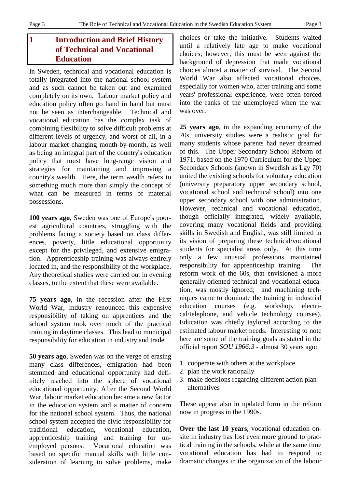# **1 Introduction and Brief History of Technical and Vocational Education**

In Sweden, technical and vocational education is totally integrated into the national school system and as such cannot be taken out and examined completely on its own. Labour market policy and education policy often go hand in hand but must not be seen as interchangeable. Technical and vocational education has the complex task of combining flexibility to solve difficult problems at different levels of urgency, and worst of all, in a labour market changing month-by-month, as well as being an integral part of the country's education policy that must have long-range vision and strategies for maintaining and improving a country's wealth. Here, the term wealth refers to something much more than simply the concept of what can be measured in terms of material possessions.

**100 years ago**, Sweden was one of Europe's poorest agricultural countries, struggling with the problems facing a society based on class differences, poverty, little educational opportunity except for the privileged, and extensive emigration. Apprenticeship training was always entirely located in, and the responsibility of the workplace. Any theoretical studies were carried out in evening classes, to the extent that these were available.

**75 years ago**, in the recession after the First World War, industry renounced this expensive responsibility of taking on apprentices and the school system took over much of the practical training in daytime classes. This lead to municipal responsibility for education in industry and trade.

**50 years ago**, Sweden was on the verge of erasing many class differences, emigration had been stemmed and educational opportunity had definitely reached into the sphere of vocational educational opportunity. After the Second World War, labour market education became a new factor in the education system and a matter of concern for the national school system. Thus, the national school system accepted the civic responsibility for traditional education, vocational education, apprenticeship training and training for unemployed persons. Vocational education was based on specific manual skills with little consideration of learning to solve problems, make

choices or take the initiative. Students waited until a relatively late age to make vocational choices; however, this must be seen against the background of depression that made vocational choices almost a matter of survival. The Second World War also affected vocational choices, especially for women who, after training and some years' professional experience, were often forced into the ranks of the unemployed when the war was over.

**25 years ago**, in the expanding economy of the 70s, university studies were a realistic goal for many students whose parents had never dreamed of this. The Upper Secondary School Reform of 1971, based on the 1970 Curriculum for the Upper Secondary Schools (known in Swedish as Lgy 70) united the existing schools for voluntary education (university preparatory upper secondary school, vocational school and technical school) into one upper secondary school with one administration. However, technical and vocational education, though officially integrated, widely available, covering many vocational fields and providing skills in Swedish and English, was still limited in its vision of preparing these technical/vocational students for specialist areas only. At this time only a few unusual professions maintained responsibility for apprenticeship training. The reform work of the 60s, that envisioned a more generally oriented technical and vocational education, was mostly ignored; and machining techniques came to dominate the training in industrial education courses (e.g. workshop, electrical/telephone, and vehicle technology courses). Education was chiefly taylored according to the estimated labour market needs. Interesting to note here are some of the training goals as stated in the official report *SOU 1966:3* - almost 30 years ago:

- 1. cooperate with others at the workplace
- 2. plan the work rationally
- 3. make decisions regarding different action plan alternatives

These appear also in updated form in the reform now in progress in the 1990s.

**Over the last 10 years**, vocational education onsite in industry has lost even more ground to practical training in the schools, while at the same time vocational education has had to respond to dramatic changes in the organization of the labour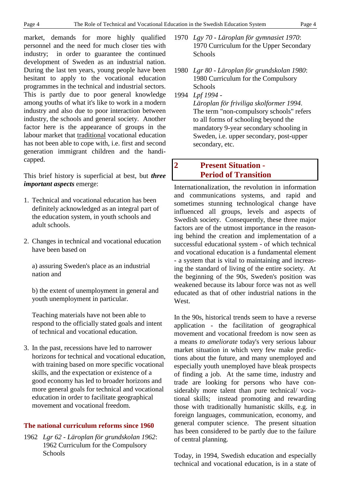market, demands for more highly qualified personnel and the need for much closer ties with industry; in order to guarantee the continued development of Sweden as an industrial nation. During the last ten years, young people have been hesitant to apply to the vocational education programmes in the technical and industrial sectors. This is partly due to poor general knowledge among youths of what it's like to work in a modern industry and also due to poor interaction between industry, the schools and general society. Another factor here is the appearance of groups in the labour market that traditional vocational education has not been able to cope with, i.e. first and second generation immigrant children and the handicapped.

This brief history is superficial at best, but *three important aspects* emerge:

- 1. Technical and vocational education has been definitely acknowledged as an integral part of the education system, in youth schools and adult schools.
- 2. Changes in technical and vocational education have been based on

a) assuring Sweden's place as an industrial nation and

b) the extent of unemployment in general and youth unemployment in particular.

Teaching materials have not been able to respond to the officially stated goals and intent of technical and vocational education.

3. In the past, recessions have led to narrower horizons for technical and vocational education, with training based on more specific vocational skills, and the expectation or existence of a good economy has led to broader horizons and more general goals for technical and vocational education in order to facilitate geographical movement and vocational freedom.

# **The national curriculum reforms since 1960**

1962 *Lgr 62 - Läroplan för grundskolan 1962*: 1962 Curriculum for the Compulsory **Schools** 

- 1970 *Lgy 70 Läroplan för gymnasiet 1970*: 1970 Curriculum for the Upper Secondary Schools
- 1980 *Lgr 80 Läroplan för grundskolan 1980*: 1980 Curriculum for the Compulsory **Schools**
- 1994 *Lpf 1994 -*

*Läroplan för friviliga skolformer 1994*. The term "non-compulsory schools" refers to all forms of schooling beyond the mandatory 9-year secondary schooling in Sweden, i.e. upper secondary, post-upper secondary, etc.

# **2 Present Situation - Period of Transition**

Internationalization, the revolution in information and communications systems, and rapid and sometimes stunning technological change have influenced all groups, levels and aspects of Swedish society. Consequently, these three major factors are of the utmost importance in the reasoning behind the creation and implementation of a successful educational system - of which technical and vocational education is a fundamental element - a system that is vital to maintaining and increasing the standard of living of the entire society. At the beginning of the 90s, Sweden's position was weakened because its labour force was not as well educated as that of other industrial nations in the West.

In the 90s, historical trends seem to have a reverse application - the facilitation of geographical movement and vocational freedom is now seen as a means *to ameliorate* today's very serious labour market situation in which very few make predictions about the future, and many unemployed and especially youth unemployed have bleak prospects of finding a job. At the same time, industry and trade are looking for persons who have considerably more talent than pure technical/ vocational skills; instead promoting and rewarding those with traditionally humanistic skills, e.g. in foreign languages, communication, economy, and general computer science. The present situation has been considered to be partly due to the failure of central planning.

Today, in 1994, Swedish education and especially technical and vocational education, is in a state of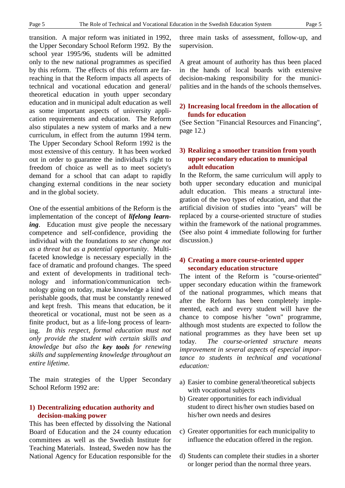transition. A major reform was initiated in 1992, the Upper Secondary School Reform 1992. By the school year 1995/96, students will be admitted only to the new national programmes as specified by this reform. The effects of this reform are farreaching in that the Reform impacts all aspects of technical and vocational education and general/ theoretical education in youth upper secondary education and in municipal adult education as well as some important aspects of university application requirements and education. The Reform also stipulates a new system of marks and a new curriculum, in effect from the autumn 1994 term. The Upper Secondary School Reform 1992 is the most extensive of this century. It has been worked out in order to guarantee the individual's right to freedom of choice as well as to meet society's demand for a school that can adapt to rapidly changing external conditions in the near society and in the global society.

One of the essential ambitions of the Reform is the implementation of the concept of *lifelong learning*. Education must give people the necessary competence and self-confidence, providing the individual with the foundations *to see change not as a threat but as a potential opportunity*. Multifaceted knowledge is necessary especially in the face of dramatic and profound changes. The speed and extent of developments in traditional technology and information/communication technology going on today, make knowledge a kind of perishable goods, that must be constantly renewed and kept fresh. This means that education, be it theoretical or vocational, must not be seen as a finite product, but as a life-long process of learning. *In this respect, formal education must not only provide the student with certain skills and knowledge but also the key tools for renewing skills and supplementing knowledge throughout an entire lifetime.*

The main strategies of the Upper Secondary School Reform 1992 are:

# **1) Decentralizing education authority and decision-making power**

This has been effected by dissolving the National Board of Education and the 24 county education committees as well as the Swedish Institute for Teaching Materials. Instead, Sweden now has the National Agency for Education responsible for the three main tasks of assessment, follow-up, and supervision.

A great amount of authority has thus been placed in the hands of local boards with extensive decision-making responsibility for the municipalities and in the hands of the schools themselves.

# **2) Increasing local freedom in the allocation of funds for education**

(See Section "Financial Resources and Financing", page 12.)

# **3) Realizing a smoother transition from youth upper secondary education to municipal adult education**

In the Reform, the same curriculum will apply to both upper secondary education and municipal adult education. This means a structural integration of the two types of education, and that the artificial division of studies into "years" will be replaced by a course-oriented structure of studies within the framework of the national programmes. (See also point 4 immediate following for further discussion.)

# **4) Creating a more course-oriented upper secondary education structure**

The intent of the Reform is "course-oriented" upper secondary education within the framework of the national programmes, which means that after the Reform has been completely implemented, each and every student will have the chance to compose his/her "own" programme, although most students are expected to follow the national programmes as they have been set up today. *The course-oriented structure means improvement in several aspects of especial importance to students in technical and vocational education:*

- a) Easier to combine general/theoretical subjects with vocational subjects
- b) Greater opportunities for each individual student to direct his/her own studies based on his/her own needs and desires
- c) Greater opportunities for each municipality to influence the education offered in the region.
- d) Students can complete their studies in a shorter or longer period than the normal three years.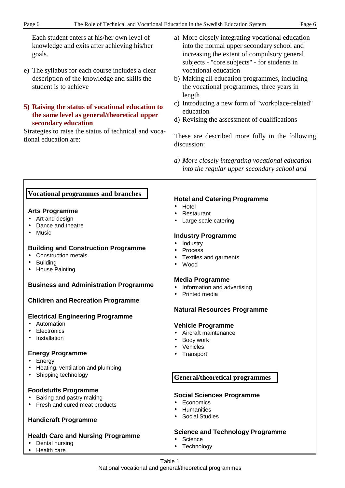Each student enters at his/her own level of knowledge and exits after achieving his/her goals.

e) The syllabus for each course includes a clear description of the knowledge and skills the student is to achieve

# **5) Raising the status of vocational education to the same level as general/theoretical upper secondary education**

Strategies to raise the status of technical and vocational education are:

- a) More closely integrating vocational education into the normal upper secondary school and increasing the extent of compulsory general subjects - "core subjects" - for students in vocational education
- b) Making all education programmes, including the vocational programmes, three years in length
- c) Introducing a new form of "workplace-related" education
- d) Revising the assessment of qualifications

These are described more fully in the following discussion:

*a) More closely integrating vocational education into the regular upper secondary school and*

# **Vocational programmes and branches**

# **Arts Programme**

- Art and design
- Dance and theatre
- Music

# **Building and Construction Programme**

- Construction metals
- Building
- House Painting

# **Business and Administration Programme**

# **Children and Recreation Programme**

# **Electrical Engineering Programme**

- Automation
- Electronics
- Installation

# **Energy Programme**

- Energy
- Heating, ventilation and plumbing
- Shipping technology

# **Foodstuffs Programme**

- Baking and pastry making
- Fresh and cured meat products

# **Handicraft Programme**

# **Health Care and Nursing Programme**

- Dental nursing
- Health care

# **Hotel and Catering Programme**

- Hotel
- Restaurant
- Large scale catering

# **Industry Programme**

- Industry
- **Process**
- Textiles and garments
- Wood

# **Media Programme**

- Information and advertising
- Printed media

# **Natural Resources Programme**

# **Vehicle Programme**

- Aircraft maintenance
- Body work
- **Vehicles**
- Transport

# **General/theoretical programmes**

# **Social Sciences Programme**

- Economics
- Humanities
- Social Studies

# **Science and Technology Programme**

- Science
- Technology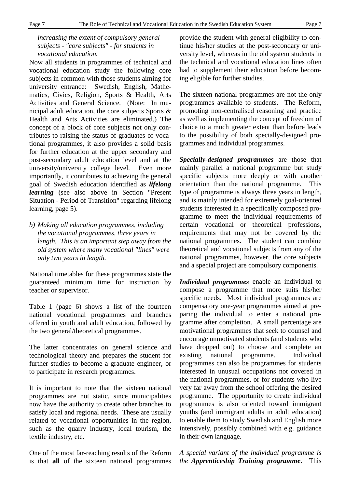# *increasing the extent of compulsory general subjects - "core subjects" - for students in vocational education.*

Now all students in programmes of technical and vocational education study the following core subjects in common with those students aiming for university entrance: Swedish, English, Mathematics, Civics, Religion, Sports & Health, Arts Activities and General Science. (Note: In municipal adult education, the core subjects Sports & Health and Arts Activities are eliminated.) The concept of a block of core subjects not only contributes to raising the status of graduates of vocational programmes, it also provides a solid basis for further education at the upper secondary and post-secondary adult education level and at the university/university college level. Even more importantly, it contributes to achieving the general goal of Swedish education identified as *lifelong learning* (see also above in Section "Present Situation - Period of Transition" regarding lifelong learning, page 5).

*b) Making all education programmes, including the vocational programmes, three years in length. This is an important step away from the old system where many vocational "lines" were only two years in length.*

National timetables for these programmes state the guaranteed minimum time for instruction by teacher or supervisor.

Table 1 (page 6) shows a list of the fourteen national vocational programmes and branches offered in youth and adult education, followed by the two general/theoretical programmes.

The latter concentrates on general science and technological theory and prepares the student for further studies to become a graduate engineer, or to participate in research programmes.

It is important to note that the sixteen national programmes are not static, since municipalities now have the authority to create other branches to satisfy local and regional needs. These are usually related to vocational opportunities in the region, such as the quarry industry, local tourism, the textile industry, etc.

One of the most far-reaching results of the Reform is that **all** of the sixteen national programmes provide the student with general eligibility to continue his/her studies at the post-secondary or university level, whereas in the old system students in the technical and vocational education lines often had to supplement their education before becoming eligible for further studies.

The sixteen national programmes are not the only programmes available to students. The Reform, promoting non-centralised reasoning and practice as well as implementing the concept of freedom of choice to a much greater extent than before leads to the possibility of both specially-designed programmes and individual programmes.

*Specially-designed programmes* are those that mainly parallel a national programme but study specific subjects more deeply or with another orientation than the national programme. This type of programme is always three years in length, and is mainly intended for extremely goal-oriented students interested in a specifically composed programme to meet the individual requirements of certain vocational or theoretical professions, requirements that may not be covered by the national programmes. The student can combine theoretical and vocational subjects from any of the national programmes, however, the core subjects and a special project are compulsory components.

*Individual programmes* enable an individual to compose a programme that more suits his/her specific needs. Most individual programmes are compensatory one-year programmes aimed at preparing the individual to enter a national programme after completion. A small percentage are motivational programmes that seek to counsel and encourage unmotivated students (and students who have dropped out) to choose and complete an existing national programme. Individual programmes can also be programmes for students interested in unusual occupations not covered in the national programmes, or for students who live very far away from the school offering the desired programme. The opportunity to create individual programmes is also oriented toward immigrant youths (and immigrant adults in adult education) to enable them to study Swedish and English more intensively, possibly combined with e.g. guidance in their own language.

*A special variant of the individual programme is the Apprenticeship Training programme*. This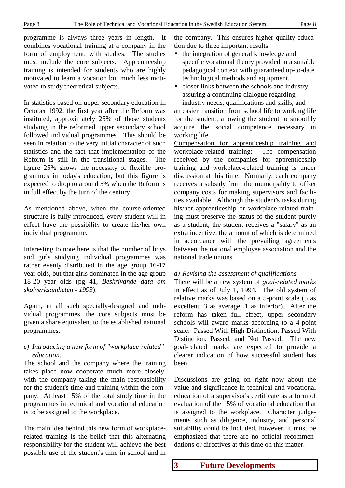programme is always three years in length. It combines vocational training at a company in the form of employment, with studies. The studies must include the core subjects. Apprenticeship training is intended for students who are highly motivated to learn a vocation but much less motivated to study theoretical subjects.

In statistics based on upper secondary education in October 1992, the first year after the Reform was instituted, approximately 25% of those students studying in the reformed upper secondary school followed individual programmes. This should be seen in relation to the very initial character of such statistics and the fact that implementation of the Reform is still in the transitional stages. The figure 25% shows the necessity of flexible programmes in today's education, but this figure is expected to drop to around 5% when the Reform is in full effect by the turn of the century.

As mentioned above, when the course-oriented structure is fully introduced, every student will in effect have the possibility to create his/her own individual programme.

Interesting to note here is that the number of boys and girls studying individual programmes was rather evenly distributed in the age group 16-17 year olds, but that girls dominated in the age group 18-20 year olds (pg 41, *Beskrivande data om skolverksamheten - 1993*).

Again, in all such specially-designed and individual programmes, the core subjects must be given a share equivalent to the established national programmes.

# *c) Introducing a new form of "workplace-related" education.*

The school and the company where the training takes place now cooperate much more closely, with the company taking the main responsibility for the student's time and training within the company. At least 15% of the total study time in the programmes in technical and vocational education is to be assigned to the workplace.

The main idea behind this new form of workplacerelated training is the belief that this alternating responsibility for the student will achieve the best possible use of the student's time in school and in the company. This ensures higher quality education due to three important results:

- the integration of general knowledge and specific vocational theory provided in a suitable pedagogical context with guaranteed up-to-date technological methods and equipment,
- closer links between the schools and industry, assuring a continuing dialogue regarding

industry needs, qualifications and skills, and an easier transition from school life to working life for the student, allowing the student to smoothly acquire the social competence necessary in working life.

Compensation for apprenticeship training and workplace-related training: The compensation received by the companies for apprenticeship training and workplace-related training is under discussion at this time. Normally, each company receives a subsidy from the municipality to offset company costs for making supervisors and facilities available. Although the student's tasks during his/her apprenticeship or workplace-related training must preserve the status of the student purely as a student, the student receives a "salary" as an extra incentive, the amount of which is determined in accordance with the prevailing agreements between the national employee association and the national trade unions.

# *d) Revising the assessment of qualifications*

There will be a new system of *goal-related marks* in effect as of July 1, 1994. The old system of relative marks was based on a 5-point scale (5 as excellent, 3 as average, 1 as inferior). After the reform has taken full effect, upper secondary schools will award marks according to a 4-point scale: Passed With High Distinction, Passed With Distinction, Passed, and Not Passed. The new goal-related marks are expected to provide a clearer indication of how successful student has been.

Discussions are going on right now about the value and significance in technical and vocational education of a supervisor's certificate as a form of evaluation of the 15% of vocational education that is assigned to the workplace. Character judgements such as diligence, industry, and personal suitability could be included, however, it must be emphasized that there are no official recommendations or directives at this time on this matter.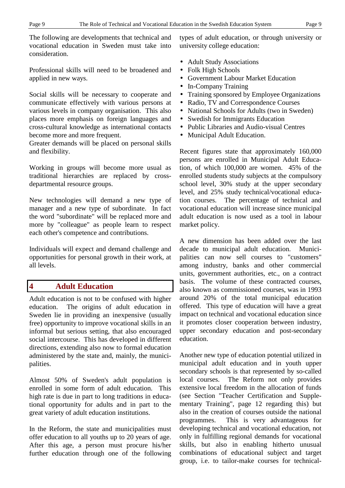The following are developments that technical and vocational education in Sweden must take into consideration.

Professional skills will need to be broadened and applied in new ways.

Social skills will be necessary to cooperate and communicate effectively with various persons at various levels in company organisation. This also places more emphasis on foreign languages and cross-cultural knowledge as international contacts become more and more frequent.

Greater demands will be placed on personal skills and flexibility.

Working in groups will become more usual as traditional hierarchies are replaced by crossdepartmental resource groups.

New technologies will demand a new type of manager and a new type of subordinate. In fact the word "subordinate" will be replaced more and more by "colleague" as people learn to respect each other's competence and contributions.

Individuals will expect and demand challenge and opportunities for personal growth in their work, at all levels.

# **4 Adult Education**

Adult education is not to be confused with higher education. The origins of adult education in Sweden lie in providing an inexpensive (usually free) opportunity to improve vocational skills in an informal but serious setting, that also encouraged social intercourse. This has developed in different directions, extending also now to formal education administered by the state and, mainly, the municipalities.

Almost 50% of Sweden's adult population is enrolled in some form of adult education. This high rate is due in part to long traditions in educational opportunity for adults and in part to the great variety of adult education institutions.

In the Reform, the state and municipalities must offer education to all youths up to 20 years of age. After this age, a person must procure his/her further education through one of the following types of adult education, or through university or university college education:

- Adult Study Associations
- Folk High Schools
- Government Labour Market Education
- In-Company Training
- Training sponsored by Employee Organizations
- Radio, TV and Correspondence Courses
- National Schools for Adults (two in Sweden)
- Swedish for Immigrants Education
- Public Libraries and Audio-visual Centres
- Municipal Adult Education.

Recent figures state that approximately 160,000 persons are enrolled in Municipal Adult Education, of which 100,000 are women. 45% of the enrolled students study subjects at the compulsory school level, 30% study at the upper secondary level, and 25% study technical/vocational education courses. The percentage of technical and vocational education will increase since municipal adult education is now used as a tool in labour market policy.

A new dimension has been added over the last decade to municipal adult education. Municipalities can now sell courses to "customers" among industry, banks and other commercial units, government authorities, etc., on a contract basis. The volume of these contracted courses, also known as commissioned courses, was in 1993 around 20% of the total municipal education offered. This type of education will have a great impact on technical and vocational education since it promotes closer cooperation between industry, upper secondary education and post-secondary education.

Another new type of education potential utilized in municipal adult education and in youth upper secondary schools is that represented by so-called local courses. The Reform not only provides extensive local freedom in the allocation of funds (see Section "Teacher Certification and Supplementary Training", page 12 regarding this) but also in the creation of courses outside the national programmes. This is very advantageous for developing technical and vocational education, not only in fulfilling regional demands for vocational skills, but also in enabling hitherto unusual combinations of educational subject and target group, i.e. to tailor-make courses for technical-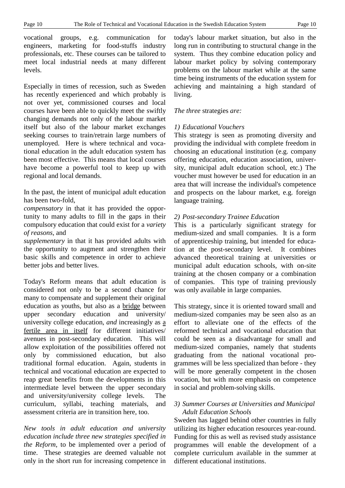vocational groups, e.g. communication for engineers, marketing for food-stuffs industry professionals, etc. These courses can be tailored to meet local industrial needs at many different levels.

Especially in times of recession, such as Sweden has recently experienced and which probably is not over yet, commissioned courses and local courses have been able to quickly meet the swiftly changing demands not only of the labour market itself but also of the labour market exchanges seeking courses to train/retrain large numbers of unemployed. Here is where technical and vocational education in the adult education system has been most effective. This means that local courses have become a powerful tool to keep up with regional and local demands.

In the past, the intent of municipal adult education has been two-fold,

*compensatory* in that it has provided the opportunity to many adults to fill in the gaps in their compulsory education that could exist for a *variety of reasons*, and

*supplementary* in that it has provided adults with the opportunity to augment and strengthen their basic skills and competence in order to achieve better jobs and better lives.

Today's Reform means that adult education is considered not only to be a second chance for many to compensate and supplement their original education as youths, but also as a bridge between upper secondary education and university/ university college education, *and* increasingly as a fertile area in itself for different initiatives/ avenues in post-secondary education. This will allow exploitation of the possibilities offered not only by commissioned education, but also traditional formal education. Again, students in technical and vocational education are expected to reap great benefits from the developments in this intermediate level between the upper secondary and university/university college levels. The curriculum, syllabi, teaching materials, and assessment criteria are in transition here, too.

*New tools in adult education and university education include three new strategies specified in the Reform*, to be implemented over a period of time. These strategies are deemed valuable not only in the short run for increasing competence in today's labour market situation, but also in the long run in contributing to structural change in the system. Thus they combine education policy and labour market policy by solving contemporary problems on the labour market while at the same time being instruments of the education system for achieving and maintaining a high standard of living.

# *The three* strategies *are:*

# *1) Educational Vouchers*

This strategy is seen as promoting diversity and providing the individual with complete freedom in choosing an educational institution (e.g. company offering education, education association, university, municipal adult education school, etc.) The voucher must however be used for education in an area that will increase the individual's competence and prospects on the labour market, e.g. foreign language training.

# *2) Post-secondary Trainee Education*

This is a particularly significant strategy for medium-sized and small companies. It is a form of apprenticeship training, but intended for education at the post-secondary level. It combines advanced theoretical training at universities or municipal adult education schools, with on-site training at the chosen company or a combination of companies. This type of training previously was only available in large companies.

This strategy, since it is oriented toward small and medium-sized companies may be seen also as an effort to alleviate one of the effects of the reformed technical and vocational education that could be seen as a disadvantage for small and medium-sized companies, namely that students graduating from the national vocational programmes will be less specialized than before - they will be more generally competent in the chosen vocation, but with more emphasis on competence in social and problem-solving skills.

# *3) Summer Courses at Universities and Municipal Adult Education Schools*

Sweden has lagged behind other countries in fully utilizing its higher education resources year-round. Funding for this as well as revised study assistance programmes will enable the development of a complete curriculum available in the summer at different educational institutions.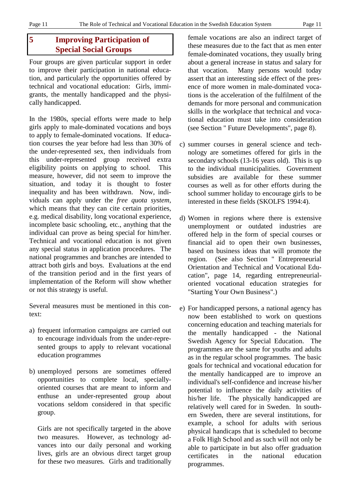# **5 Improving Participation of Special Social Groups**

Four groups are given particular support in order to improve their participation in national education, and particularly the opportunities offered by technical and vocational education: Girls, immigrants, the mentally handicapped and the physically handicapped.

In the 1980s, special efforts were made to help girls apply to male-dominated vocations and boys to apply to female-dominated vocations. If education courses the year before had less than 30% of the under-represented sex, then individuals from this under-represented group received extra eligibility points on applying to school. This measure, however, did not seem to improve the situation, and today it is thought to foster inequality and has been withdrawn. Now, individuals can apply under the *free quota system*, which means that they can cite certain priorities, e.g. medical disability, long vocational experience, incomplete basic schooling, etc., anything that the individual can prove as being special for him/her. Technical and vocational education is not given any special status in application procedures. The national programmes and branches are intended to attract both girls and boys. Evaluations at the end of the transition period and in the first years of implementation of the Reform will show whether or not this strategy is useful.

Several measures must be mentioned in this context:

- a) frequent information campaigns are carried out to encourage individuals from the under-represented groups to apply to relevant vocational education programmes
- b) unemployed persons are sometimes offered opportunities to complete local, speciallyoriented courses that are meant to inform and enthuse an under-represented group about vocations seldom considered in that specific group.

Girls are not specifically targeted in the above two measures. However, as technology advances into our daily personal and working lives, girls are an obvious direct target group for these two measures. Girls and traditionally

female vocations are also an indirect target of these measures due to the fact that as men enter female-dominated vocations, they usually bring about a general increase in status and salary for that vocation. Many persons would today assert that an interesting side effect of the presence of more women in male-dominated vocations is the acceleration of the fulfilment of the demands for more personal and communication skills in the workplace that technical and vocational education must take into consideration (see Section " Future Developments", page 8).

- c) summer courses in general science and technology are sometimes offered for girls in the secondary schools (13-16 years old). This is up to the individual municipalities. Government subsidies are available for these summer courses as well as for other efforts during the school summer holiday to encourage girls to be interested in these fields (SKOLFS 1994:4).
- d) Women in regions where there is extensive unemployment or outdated industries are offered help in the form of special courses or financial aid to open their own businesses, based on business ideas that will promote the region. (See also Section " Entrepreneurial Orientation and Technical and Vocational Education", page 14, regarding entrepreneurialoriented vocational education strategies for "Starting Your Own Business".)
- e) For handicapped persons, a national agency has now been established to work on questions concerning education and teaching materials for the mentally handicapped - the National Swedish Agency for Special Education. The programmes are the same for youths and adults as in the regular school programmes. The basic goals for technical and vocational education for the mentally handicapped are to improve an individual's self-confidence and increase his/her potential to influence the daily activities of his/her life. The physically handicapped are relatively well cared for in Sweden. In southern Sweden, there are several institutions, for example, a school for adults with serious physical handicaps that is scheduled to become a Folk High School and as such will not only be able to participate in but also offer graduation certificates in the national education programmes.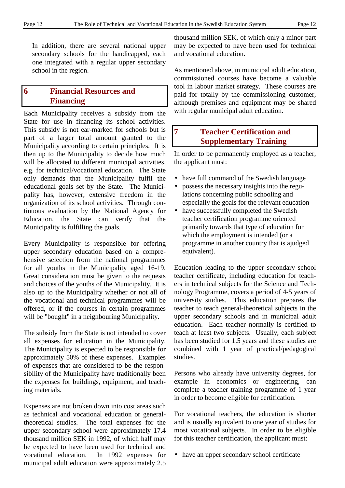In addition, there are several national upper secondary schools for the handicapped, each one integrated with a regular upper secondary school in the region.

# **6 Financial Resources and Financing**

Each Municipality receives a subsidy from the State for use in financing its school activities. This subsidy is not ear-marked for schools but is part of a larger total amount granted to the Municipality according to certain principles. It is then up to the Municipality to decide how much will be allocated to different municipal activities, e.g. for technical/vocational education. The State only demands that the Municipality fulfil the educational goals set by the State. The Municipality has, however, extensive freedom in the organization of its school activities. Through continuous evaluation by the National Agency for Education, the State can verify that the Municipality is fulfilling the goals.

Every Municipality is responsible for offering upper secondary education based on a comprehensive selection from the national programmes for all youths in the Municipality aged 16-19. Great consideration must be given to the requests and choices of the youths of the Municipality. It is also up to the Municipality whether or not all of the vocational and technical programmes will be offered, or if the courses in certain programmes will be "bought" in a neighbouring Municipality.

The subsidy from the State is not intended to cover all expenses for education in the Municipality. The Municipality is expected to be responsible for approximately 50% of these expenses. Examples of expenses that are considered to be the responsibility of the Municipality have traditionally been the expenses for buildings, equipment, and teaching materials.

Expenses are not broken down into cost areas such as technical and vocational education or generaltheoretical studies. The total expenses for the upper secondary school were approximately 17.4 thousand million SEK in 1992, of which half may be expected to have been used for technical and vocational education. In 1992 expenses for municipal adult education were approximately 2.5 thousand million SEK, of which only a minor part may be expected to have been used for technical and vocational education.

As mentioned above, in municipal adult education, commissioned courses have become a valuable tool in labour market strategy. These courses are paid for totally by the commissioning customer, although premises and equipment may be shared with regular municipal adult education.

# **7 Teacher Certification and Supplementary Training**

In order to be permanently employed as a teacher, the applicant must:

- have full command of the Swedish language
- possess the necessary insights into the regulations concerning public schooling and especially the goals for the relevant education
- have successfully completed the Swedish teacher certification programme oriented primarily towards that type of education for which the employment is intended (or a programme in another country that is ajudged equivalent).

Education leading to the upper secondary school teacher certificate, including education for teachers in technical subjects for the Science and Technology Programme, covers a period of 4-5 years of university studies. This education prepares the teacher to teach general-theoretical subjects in the upper secondary schools and in municipal adult education. Each teacher normally is certified to teach at least two subjects. Usually, each subject has been studied for 1.5 years and these studies are combined with 1 year of practical/pedagogical studies.

Persons who already have university degrees, for example in economics or engineering, can complete a teacher training programme of 1 year in order to become eligible for certification.

For vocational teachers, the education is shorter and is usually equivalent to one year of studies for most vocational subjects. In order to be eligible for this teacher certification, the applicant must:

• have an upper secondary school certificate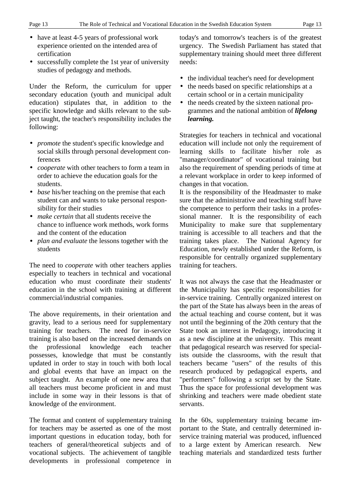- 
- have at least 4-5 years of professional work experience oriented on the intended area of certification
- successfully complete the 1st year of university studies of pedagogy and methods.

Under the Reform, the curriculum for upper secondary education (youth and municipal adult education) stipulates that, in addition to the specific knowledge and skills relevant to the subject taught, the teacher's responsibility includes the following:

- *promote* the student's specific knowledge and social skills through personal development conferences
- *cooperate* with other teachers to form a team in order to achieve the education goals for the students.
- *base* his/her teaching on the premise that each student can and wants to take personal responsibility for their studies
- *make certain* that all students receive the chance to influence work methods, work forms and the content of the education
- *plan and evaluate* the lessons together with the students

The need to *cooperate* with other teachers applies especially to teachers in technical and vocational education who must coordinate their students' education in the school with training at different commercial/industrial companies.

The above requirements, in their orientation and gravity, lead to a serious need for supplementary training for teachers. The need for in-service training is also based on the increased demands on the professional knowledge each teacher possesses, knowledge that must be constantly updated in order to stay in touch with both local and global events that have an impact on the subject taught. An example of one new area that all teachers must become proficient in and must include in some way in their lessons is that of knowledge of the environment.

The format and content of supplementary training for teachers may be asserted as one of the most important questions in education today, both for teachers of general/theoretical subjects and of vocational subjects. The achievement of tangible developments in professional competence in

today's and tomorrow's teachers is of the greatest urgency. The Swedish Parliament has stated that supplementary training should meet three different needs:

- the individual teacher's need for development
- the needs based on specific relationships at a certain school or in a certain municipality
- the needs created by the sixteen national programmes and the national ambition of *lifelong learning.*

Strategies for teachers in technical and vocational education will include not only the requirement of learning skills to facilitate his/her role as "manager/coordinator" of vocational training but also the requirement of spending periods of time at a relevant workplace in order to keep informed of changes in that vocation.

It is the responsibility of the Headmaster to make sure that the administrative and teaching staff have the competence to perform their tasks in a professional manner. It is the responsibility of each Municipality to make sure that supplementary training is accessible to all teachers and that the training takes place. The National Agency for Education, newly established under the Reform, is responsible for centrally organized supplementary training for teachers.

It was not always the case that the Headmaster or the Municipality has specific responsibilities for in-service training. Centrally organized interest on the part of the State has always been in the areas of the actual teaching and course content, but it was not until the beginning of the 20th century that the State took an interest in Pedagogy, introducing it as a new discipline at the university. This meant that pedagogical research was reserved for specialists outside the classrooms, with the result that teachers became "users" of the results of this research produced by pedagogical experts, and "performers" following a script set by the State. Thus the space for professional development was shrinking and teachers were made obedient state servants.

In the 60s, supplementary training became important to the State, and centrally determined inservice training material was produced, influenced to a large extent by American research. New teaching materials and standardized tests further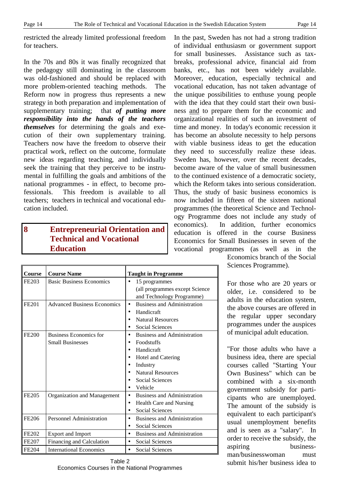restricted the already limited professional freedom for teachers.

In the 70s and 80s it was finally recognized that the pedagogy still dominating in the classroom was old-fashioned and should be replaced with more problem-oriented teaching methods. The Reform now in progress thus represents a new strategy in both preparation and implementation of supplementary training; that *of putting more responsibility into the hands of the teachers themselves* for determining the goals and execution of their own supplementary training. Teachers now have the freedom to observe their practical work, reflect on the outcome, formulate new ideas regarding teaching, and individually seek the training that they perceive to be instrumental in fulfilling the goals and ambitions of the national programmes - in effect, to become professionals. This freedom is available to all teachers; teachers in technical and vocational education included.

# **8 Entrepreneurial Orientation and Technical and Vocational Education**

**Course Course Name Taught in Programme** FE203 Basic Business Economics • 15 programmes (all programmes except Science and Technology Programme) FE201 Advanced Business Economics  $\bullet$  Business and Administration • Handicraft • Natural Resources Social Sciences FE200 Business Economics for Small Businesses • Business and Administration • Foodstuffs • Handicraft • Hotel and Catering **Industry** • Natural Resources • Social Sciences • Vehicle FE205 | Organization and Management | • Business and Administration • Health Care and Nursing • Social Sciences FE206 Personnel Administration **•** Business and Administration Social Sciences FE202 Export and Import **•** Business and Administration FE207 Financing and Calculation • Social Sciences FE204 International Economics **•** Social Sciences

In the past, Sweden has not had a strong tradition of individual enthusiasm or government support for small businesses. Assistance such as taxbreaks, professional advice, financial aid from banks, etc., has not been widely available. Moreover, education, especially technical and vocational education, has not taken advantage of the unique possibilities to enthuse young people with the idea that they could start their own business and to prepare them for the economic and organizational realities of such an investment of time and money. In today's economic recession it has become an absolute necessity to help persons with viable business ideas to get the education they need to successfully realize these ideas. Sweden has, however, over the recent decades, become aware of the value of small businessmen to the continued existence of a democratic society, which the Reform takes into serious consideration. Thus, the study of basic business economics is now included in fifteen of the sixteen national programmes (the theoretical Science and Technology Programme does not include any study of economics). In addition, further economics education is offered in the course Business Economics for Small Businesses in seven of the vocational programmes (as well as in the

> Economics branch of the Social Sciences Programme).

For those who are 20 years or older, i.e. considered to be adults in the education system, the above courses are offered in the regular upper secondary programmes under the auspices of municipal adult education.

"For those adults who have a business idea, there are special courses called "Starting Your Own Business" which can be combined with a six-month government subsidy for participants who are unemployed. The amount of the subsidy is equivalent to each participant's usual unemployment benefits and is seen as a "salary". In order to receive the subsidy, the aspiring businessman/businesswoman must submit his/her business idea to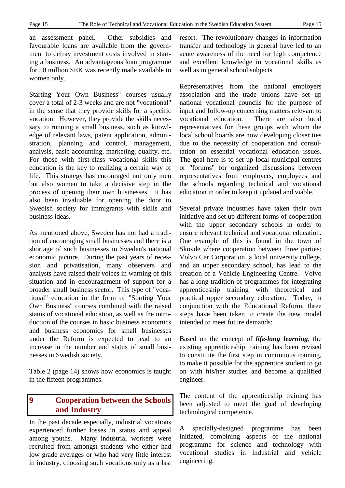an assessment panel. Other subsidies and favourable loans are available from the government to defray investment costs involved in starting a business. An advantageous loan programme for 50 million SEK was recently made available to women only.

Starting Your Own Business" courses usually cover a total of 2-3 weeks and are not "vocational" in the sense that they provide skills for a specific vocation. However, they provide the skills necessary to running a small business, such as knowledge of relevant laws, patent application, administration, planning and control, management, analysis, basic accounting, marketing, quality, etc. For those with first-class vocational skills this education is the key to realizing a certain way of life. This strategy has encouraged not only men but also women to take a decisive step in the process of opening their own businesses. It has also been invaluable for opening the door to Swedish society for immigrants with skills and business ideas.

As mentioned above, Sweden has not had a tradition of encouraging small businesses and there is a shortage of such businesses in Sweden's national economic picture. During the past years of recession and privatisation, many observers and analysts have raised their voices in warning of this situation and in encouragement of support for a broader small business sector. This type of "vocational" education in the form of "Starting Your Own Business" courses combined with the raised status of vocational education, as well as the introduction of the courses in basic business economics and business economics for small businesses under the Reform is expected to lead to an increase in the number and status of small businesses in Swedish society.

Table 2 (page 14) shows how economics is taught in the fifteen programmes.

# **9 Cooperation between the Schools and Industry**

In the past decade especially, industrial vocations experienced further losses in status and appeal among youths. Many industrial workers were recruited from amongst students who either had low grade averages or who had very little interest in industry, choosing such vocations only as a last resort. The revolutionary changes in information transfer and technology in general have led to an acute awareness of the need for high competence and excellent knowledge in vocational skills as well as in general school subjects.

Representatives from the national employers association and the trade unions have set up national vocational councils for the purpose of input and follow-up concerning matters relevant to vocational education. There are also local representatives for these groups with whom the local school boards are now developing closer ties due to the necessity of cooperation and consultation on essential vocational education issues. The goal here is to set up local municipal centres or "forums" for organized discussions between representatives from employers, employees and the schools regarding technical and vocational education in order to keep it updated and viable.

Several private industries have taken their own initiative and set up different forms of cooperation with the upper secondary schools in order to ensure relevant technical and vocational education. One example of this is found in the town of Skövde where cooperation between three parties: Volvo Car Corporation, a local university college, and an upper secondary school, has lead to the creation of a Vehicle Engineering Centre. Volvo has a long tradition of programmes for integrating apprenticeship training with theoretical and practical upper secondary education. Today, in conjunction with the Educational Reform, three steps have been taken to create the new model intended to meet future demands:

Based on the concept of *life-long learning*, the existing apprenticeship training has been revised to constitute the first step in continuous training, to make it possible for the apprentice student to go on with his/her studies and become a qualified engineer.

The content of the apprenticeship training has been adjusted to meet the goal of developing technological competence.

A specially-designed programme has been initiated, combining aspects of the national programme for science and technology with vocational studies in industrial and vehicle engineering.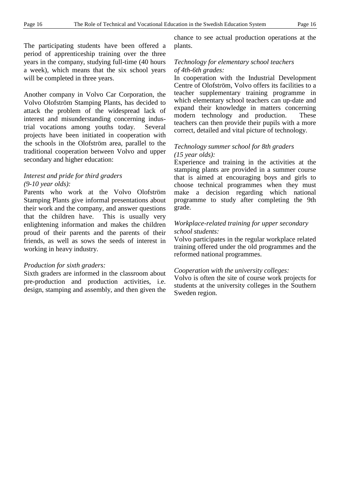The participating students have been offered a period of apprenticeship training over the three years in the company, studying full-time (40 hours a week), which means that the six school years will be completed in three years.

Another company in Volvo Car Corporation, the Volvo Olofström Stamping Plants, has decided to attack the problem of the widespread lack of interest and misunderstanding concerning industrial vocations among youths today. Several projects have been initiated in cooperation with the schools in the Olofström area, parallel to the traditional cooperation between Volvo and upper secondary and higher education:

# *Interest and pride for third graders (9-10 year olds):*

Parents who work at the Volvo Olofström Stamping Plants give informal presentations about their work and the company, and answer questions that the children have. This is usually very enlightening information and makes the children proud of their parents and the parents of their friends, as well as sows the seeds of interest in working in heavy industry.

# *Production for sixth graders:*

Sixth graders are informed in the classroom about pre-production and production activities, i.e. design, stamping and assembly, and then given the chance to see actual production operations at the plants.

# *Technology for elementary school teachers of 4th-6th grades:*

In cooperation with the Industrial Development Centre of Olofström, Volvo offers its facilities to a teacher supplementary training programme in which elementary school teachers can up-date and expand their knowledge in matters concerning modern technology and production. These teachers can then provide their pupils with a more correct, detailed and vital picture of technology.

# *Technology summer school for 8th graders (15 year olds):*

Experience and training in the activities at the stamping plants are provided in a summer course that is aimed at encouraging boys and girls to choose technical programmes when they must make a decision regarding which national programme to study after completing the 9th grade.

# *Workplace-related training for upper secondary school students:*

Volvo participates in the regular workplace related training offered under the old programmes and the reformed national programmes.

# *Cooperation with the university colleges:*

Volvo is often the site of course work projects for students at the university colleges in the Southern Sweden region.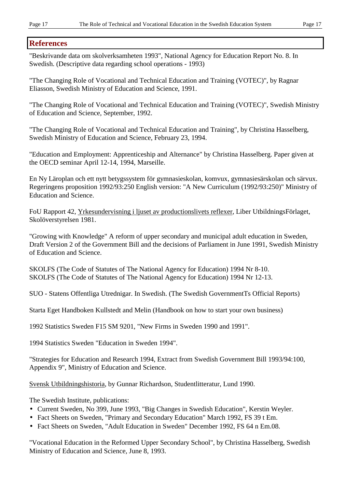# **References**

"Beskrivande data om skolverksamheten 1993", National Agency for Education Report No. 8. In Swedish. (Descriptive data regarding school operations - 1993)

"The Changing Role of Vocational and Technical Education and Training (VOTEC)", by Ragnar Eliasson, Swedish Ministry of Education and Science, 1991.

"The Changing Role of Vocational and Technical Education and Training (VOTEC)", Swedish Ministry of Education and Science, September, 1992.

"The Changing Role of Vocational and Technical Education and Training", by Christina Hasselberg, Swedish Ministry of Education and Science, February 23, 1994.

"Education and Employment: Apprenticeship and Alternance" by Christina Hasselberg. Paper given at the OECD seminar April 12-14, 1994, Marseille.

En Ny Läroplan och ett nytt betygssystem för gymnasieskolan, komvux, gymnasiesärskolan och särvux. Regeringens proposition 1992/93:250 English version: "A New Curriculum (1992/93:250)" Ministry of Education and Science.

FoU Rapport 42, Yrkesundervisning i ljuset av productionslivets reflexer, Liber UtbildningsFörlaget, Skolöverstyrelsen 1981.

"Growing with Knowledge" A reform of upper secondary and municipal adult education in Sweden, Draft Version 2 of the Government Bill and the decisions of Parliament in June 1991, Swedish Ministry of Education and Science.

SKOLFS (The Code of Statutes of The National Agency for Education) 1994 Nr 8-10. SKOLFS (The Code of Statutes of The National Agency for Education) 1994 Nr 12-13.

SUO - Statens Offentliga Utrednigar. In Swedish. (The Swedish GovernmentTs Official Reports)

Starta Eget Handboken Kullstedt and Melin (Handbook on how to start your own business)

1992 Statistics Sweden F15 SM 9201, "New Firms in Sweden 1990 and 1991".

1994 Statistics Sweden "Education in Sweden 1994".

"Strategies for Education and Research 1994, Extract from Swedish Government Bill 1993/94:100, Appendix 9", Ministry of Education and Science.

Svensk Utbildningshistoria, by Gunnar Richardson, Studentlitteratur, Lund 1990.

The Swedish Institute, publications:

- Current Sweden, No 399, June 1993, "Big Changes in Swedish Education", Kerstin Weyler.
- Fact Sheets on Sweden, "Primary and Secondary Education" March 1992, FS 39 t Em.
- Fact Sheets on Sweden, "Adult Education in Sweden" December 1992, FS 64 n Em.08.

"Vocational Education in the Reformed Upper Secondary School", by Christina Hasselberg, Swedish Ministry of Education and Science, June 8, 1993.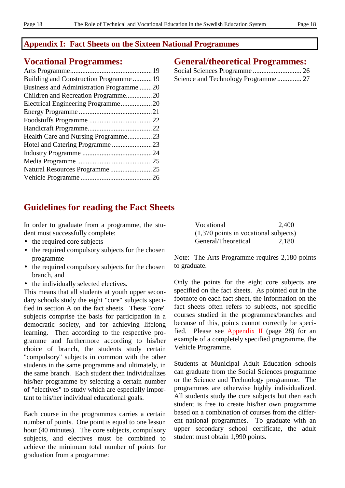# **Appendix I: Fact Sheets on the Sixteen National Programmes**

# **Vocational Programmes:**

| Building and Construction Programme19   |  |
|-----------------------------------------|--|
| Business and Administration Programme20 |  |
|                                         |  |
| Electrical Engineering Programme20      |  |
|                                         |  |
|                                         |  |
|                                         |  |
| Health Care and Nursing Programme23     |  |
| Hotel and Catering Programme23          |  |
|                                         |  |
|                                         |  |
| Natural Resources Programme25           |  |
|                                         |  |
|                                         |  |

# **General/theoretical Programmes:**

# **Guidelines for reading the Fact Sheets**

In order to graduate from a programme, the student must successfully complete:

- the required core subjects
- the required compulsory subjects for the chosen programme
- the required compulsory subjects for the chosen branch, and
- the individually selected electives.

This means that all students at youth upper secondary schools study the eight "core" subjects specified in section A on the fact sheets. These "core" subjects comprise the basis for participation in a democratic society, and for achieving lifelong learning. Then according to the respective programme and furthermore according to his/her choice of branch, the students study certain "compulsory" subjects in common with the other students in the same programme and ultimately, in the same branch. Each student then individualizes his/her programme by selecting a certain number of "electives" to study which are especially important to his/her individual educational goals.

Each course in the programmes carries a certain number of points. One point is equal to one lesson hour (40 minutes). The core subjects, compulsory subjects, and electives must be combined to achieve the minimum total number of points for graduation from a programme:

| Vocational                               | 2,400 |
|------------------------------------------|-------|
| $(1,370)$ points in vocational subjects) |       |
| General/Theoretical                      | 2,180 |

Note: The Arts Programme requires 2,180 points to graduate.

Only the points for the eight core subjects are specified on the fact sheets. As pointed out in the footnote on each fact sheet, the information on the fact sheets often refers to subjects, not specific courses studied in the programmes/branches and because of this, points cannot correctly be specified. Please see Appendix II (page 28) for an example of a completely specified programme, the Vehicle Programme.

Students at Municipal Adult Education schools can graduate from the Social Sciences programme or the Science and Technology programme. The programmes are otherwise highly individualized. All students study the core subjects but then each student is free to create his/her own programme based on a combination of courses from the different national programmes. To graduate with an upper secondary school certificate, the adult student must obtain 1,990 points.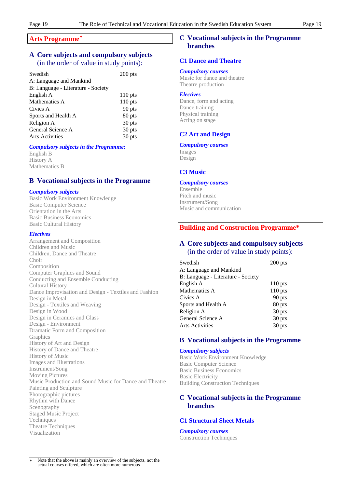### **Arts Programme**✶

# **A Core subjects and compulsory subjects** (in the order of value in study points):

| Swedish                            | $200$ pts |
|------------------------------------|-----------|
| A: Language and Mankind            |           |
| B: Language - Literature - Society |           |
| English A                          | $110$ pts |
| Mathematics A                      | $110$ pts |
| Civics A                           | 90 pts    |
| Sports and Health A                | 80 pts    |
| Religion A                         | 30 pts    |
| General Science A                  | 30 pts    |
| <b>Arts Activities</b>             | 30 pts    |
|                                    |           |

# *Compulsory subjects in the Programme:*

English B History A Mathematics B

# **B Vocational subjects in the Programme**

# *Compulsory subjects*

Basic Work Environment Knowledge Basic Computer Science Orientation in the Arts Basic Business Economics Basic Cultural History

#### *Electives*

Arrangement and Composition Children and Music Children, Dance and Theatre Choir Composition Computer Graphics and Sound Conducting and Ensemble Conducting Cultural History Dance Improvisation and Design - Textiles and Fashion Design in Metal Design - Textiles and Weaving Design in Wood Design in Ceramics and Glass Design - Environment Dramatic Form and Composition **Graphics** History of Art and Design History of Dance and Theatre History of Music Images and Illustrations Instrument/Song Moving Pictures Music Production and Sound Music for Dance and Theatre Painting and Sculpture Photographic pictures Rhythm with Dance Scenography Staged Music Project Techniques Theatre Techniques Visualization

# **C Vocational subjects in the Programme branches**

#### **C1 Dance and Theatre**

#### *Compulsory courses*

Music for dance and theatre Theatre production

#### *Electives*

Dance, form and acting Dance training Physical training Acting on stage

# **C2 Art and Design**

#### *Compulsory courses*

Images Design

### **C3 Music**

# *Compulsory courses*

Ensemble Pitch and music Instrument/Song Music and communication

# **Building and Construction Programme\***

# **A Core subjects and compulsory subjects** (in the order of value in study points):

| Swedish                            | $200$ pts |
|------------------------------------|-----------|
| A: Language and Mankind            |           |
| B: Language - Literature - Society |           |
| English A                          | $110$ pts |
| Mathematics A                      | $110$ pts |
| Civics A                           | 90 pts    |
| Sports and Health A                | 80 pts    |
| Religion A                         | 30 pts    |
| General Science A                  | 30 pts    |
| <b>Arts Activities</b>             | 30 pts    |

# **B Vocational subjects in the Programme**

#### *Compulsory subjects*

Basic Work Environment Knowledge Basic Computer Science Basic Business Economics Basic Electricity Building Construction Techniques

# **C Vocational subjects in the Programme branches**

# **C1 Structural Sheet Metals**

*Compulsory courses* Construction Techniques

 $\overline{1}$ Note that the above is mainly an overview of the subjects, not the actual courses offered, which are often more numerous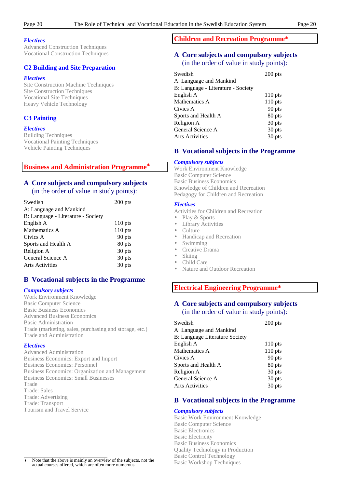#### *Electives*

Advanced Construction Techniques Vocational Construction Techniques

#### **C2 Building and Site Preparation**

#### *Electives*

Site Construction Machine Techniques Site Construction Techniques Vocational Site Techniques Heavy Vehicle Technology

#### **C3 Painting**

#### *Electives*

Building Techniques Vocational Painting Techniques Vehicle Painting Techniques

#### **Business and Administration Programme**✶

# **A Core subjects and compulsory subjects**

(in the order of value in study points):

| Swedish                            | $200$ pts |
|------------------------------------|-----------|
| A: Language and Mankind            |           |
| B: Language - Literature - Society |           |
| English A                          | $110$ pts |
| Mathematics A                      | $110$ pts |
| Civics A                           | 90 pts    |
| Sports and Health A                | 80 pts    |
| Religion A                         | 30 pts    |
| General Science A                  | 30 pts    |
| <b>Arts Activities</b>             | 30 pts    |
|                                    |           |

### **B Vocational subjects in the Programme**

#### *Compulsory subjects*

Work Environment Knowledge Basic Computer Science Basic Business Economics Advanced Business Economics Basic Administration Trade (marketing, sales, purchasing and storage, etc.) Trade and Administration

#### *Electives*

Advanced Administration Business Economics: Export and Import Business Economics: Personnel Business Economics: Organization and Management Business Economics: Small Businesses Trade Trade: Sales Trade: Advertising Trade: Transport Tourism and Travel Service

# **Children and Recreation Programme\***

# **A Core subjects and compulsory subjects** (in the order of value in study points):

| Swedish                            | $200$ pts |
|------------------------------------|-----------|
| A: Language and Mankind            |           |
| B: Language - Literature - Society |           |
| English A                          | $110$ pts |
| Mathematics A                      | $110$ pts |
| Civics A                           | 90 pts    |
| Sports and Health A                | 80 pts    |
| Religion A                         | 30 pts    |
| General Science A                  | 30 pts    |
| <b>Arts Activities</b>             | 30 pts    |

# **B Vocational subjects in the Programme**

#### *Compulsory subjects*

Work Environment Knowledge Basic Computer Science Basic Business Economics Knowledge of Children and Recreation Pedagogy for Children and Recreation

#### *Electives*

Activities for Children and Recreation

- Play & Sports
- **Library Activities**
- Culture
- Handicap and Recreation
- Swimming
	- Creative Drama
	- Skiing
	- Child Care
	- Nature and Outdoor Recreation

# **Electrical Engineering Programme\***

# **A Core subjects and compulsory subjects** (in the order of value in study points):

| $200$ pts |
|-----------|
|           |
|           |
| $110$ pts |
| $110$ pts |
| 90 pts    |
| 80 pts    |
| 30 pts    |
| 30 pts    |
| 30 pts    |
|           |

#### **B Vocational subjects in the Programme**

#### *Compulsory subjects*

Basic Work Environment Knowledge Basic Computer Science Basic Electronics Basic Electricity Basic Business Economics Quality Technology in Production Basic Control Technology Basic Workshop Techniques

 $\overline{1}$ Note that the above is mainly an overview of the subjects, not the actual courses offered, which are often more numerous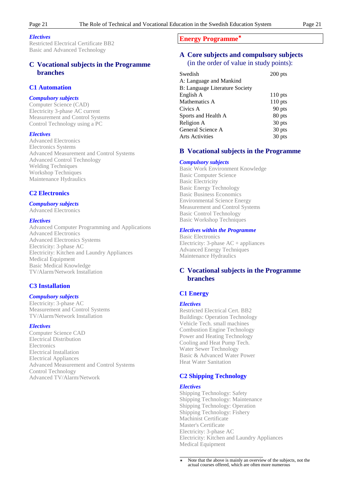#### *Electives*

Restricted Electrical Certificate BB2 Basic and Advanced Technology

### **C Vocational subjects in the Programme branches**

#### **C1 Automation**

#### *Compulsory subjects*

Computer Science (CAD) Electricity 3-phase AC current Measurement and Control Systems Control Technology using a PC

#### *Electives*

Advanced Electronics Electronics Systems Advanced Measurement and Control Systems Advanced Control Technology Welding Techniques Workshop Techniques Maintenance Hydraulics

#### **C2 Electronics**

#### *Compulsory subjects*

#### Advanced Electronics

#### *Electives*

Advanced Computer Programming and Applications Advanced Electronics Advanced Electronics Systems Electricity: 3-phase AC Electricity: Kitchen and Laundry Appliances Medical Equipment Basic Medical Knowledge TV/Alarm/Network Installation

#### **C3 Installation**

#### *Compulsory subjects*

Electricity: 3-phase AC Measurement and Control Systems TV/Alarm/Network Installation

#### *Electives*

Computer Science CAD Electrical Distribution **Electronics** Electrical Installation Electrical Appliances Advanced Measurement and Control Systems Control Technology Advanced TV/Alarm/Network

#### **Energy Programme**✶

### **A Core subjects and compulsory subjects** (in the order of value in study points):

| $200$ pts |
|-----------|
|           |
|           |
| $110$ pts |
| $110$ pts |
| 90 pts    |
| 80 pts    |
| 30 pts    |
| 30 pts    |
| 30 pts    |
|           |

#### **B Vocational subjects in the Programme**

#### *Compulsory subjects*

Basic Work Environment Knowledge Basic Computer Science Basic Electricity Basic Energy Technology Basic Business Economics Environmental Science Energy Measurement and Control Systems Basic Control Technology Basic Workshop Techniques

#### *Electives within the Programme*

Basic Electronics Electricity:  $3$ -phase  $AC + app$ liances Advanced Energy Techniques Maintenance Hydraulics

# **C Vocational subjects in the Programme branches**

#### **C1 Energy**

#### *Electives*

Restricted Electrical Cert. BB2 Buildings: Operation Technology Vehicle Tech. small machines Combustion Engine Technology Power and Heating Technology Cooling and Heat Pump Tech. Water Sewer Technology Basic & Advanced Water Power Heat Water Sanitation

#### **C2 Shipping Technology**

#### *Electives*

Shipping Technology: Safety Shipping Technology: Maintenance Shipping Technology: Operation Shipping Technology: Fishery Machinist Certificate Master's Certificate Electricity: 3-phase AC Electricity: Kitchen and Laundry Appliances Medical Equipment

 $\overline{1}$ Note that the above is mainly an overview of the subjects, not the actual courses offered, which are often more numerous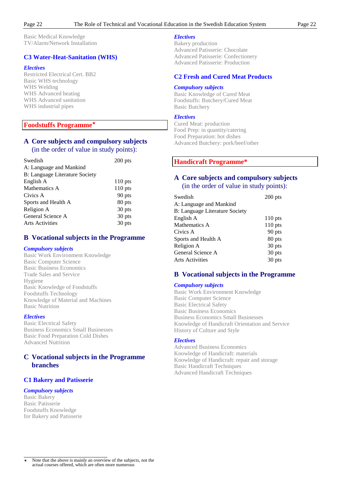Basic Medical Knowledge TV/Alarm/Network Installation

# **C3 Water-Heat-Sanitation (WHS)**

#### *Electives*

Restricted Electrical Cert. BB2 Basic WHS technology WHS Welding WHS Advanced heating WHS Advanced sanitation WHS industrial pipes

# **Foodstuffs Programme**✶

### **A Core subjects and compulsory subjects** (in the order of value in study points):

| Swedish                        | $200$ pts |
|--------------------------------|-----------|
| A: Language and Mankind        |           |
| B: Language Literature Society |           |
| English A                      | $110$ pts |
| Mathematics A                  | $110$ pts |
| Civics A                       | 90 pts    |
| Sports and Health A            | 80 pts    |
| Religion A                     | 30 pts    |
| General Science A              | 30 pts    |
| <b>Arts Activities</b>         | 30 pts    |
|                                |           |

# **B Vocational subjects in the Programme**

#### *Compulsory subjects*

Basic Work Environment Knowledge Basic Computer Science Basic Business Economics Trade Sales and Service Hygiene Basic Knowledge of Foodstuffs Foodstuffs Technology Knowledge of Material and Machines Basic Nutrition

#### *Electives*

Basic Electrical Safety Business Economics Small Businesses Basic Food Preparation Cold Dishes Advanced Nutrition

# **C Vocational subjects in the Programme branches**

### **C1 Bakery and Patisserie**

#### *Compulsory subjects*

Basic Bakery Basic Patisserie Foodstuffs Knowledge for Bakery and Patisserie

# *Electives*

Bakery production Advanced Patisserie: Chocolate Advanced Patisserie: Confectionery Advanced Patisserie: Production

### **C2 Fresh and Cured Meat Products**

#### *Compulsory subjects*

Basic Knowledge of Cured Meat Foodstuffs: Butchery/Cured Meat Basic Butchery

#### *Electives*

Cured Meat: production Food Prep: in quantity/catering Food Preparation: hot dishes Advanced Butchery: pork/beef/other

### **Handicraft Programme\***

# **A Core subjects and compulsory subjects** (in the order of value in study points):

| Swedish                        | $200$ pts |
|--------------------------------|-----------|
| A: Language and Mankind        |           |
| B: Language Literature Society |           |
| English A                      | $110$ pts |
| Mathematics A                  | $110$ pts |
| Civics A                       | 90 pts    |
| Sports and Health A            | 80 pts    |
| Religion A                     | 30 pts    |
| General Science A              | 30 pts    |
| <b>Arts Activities</b>         | 30 pts    |

### **B Vocational subjects in the Programme**

#### *Compulsory subjects*

Basic Work Environment Knowledge Basic Computer Science Basic Electrical Safety Basic Business Economics Business Economics Small Businesses Knowledge of Handicraft Orientation and Service History of Culture and Style

#### *Electives*

Advanced Business Economics Knowledge of Handicraft: materials Knowledge of Handicraft: repair and storage Basic Handicraft Techniques Advanced Handicraft Techniques

 $\overline{1}$ Note that the above is mainly an overview of the subjects, not the actual courses offered, which are often more numerous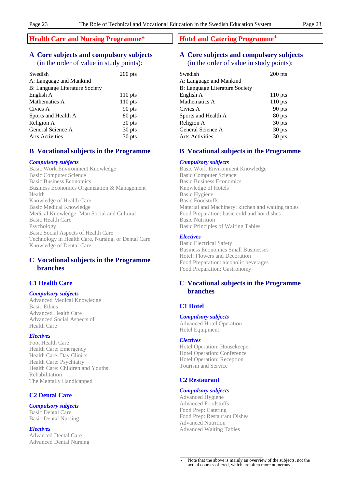# **Health Care and Nursing Programme\***

# **A Core subjects and compulsory subjects** (in the order of value in study points):

| Swedish                        | $200$ pts |
|--------------------------------|-----------|
| A: Language and Mankind        |           |
| B: Language Literature Society |           |
| English A                      | $110$ pts |
| Mathematics A                  | $110$ pts |
| Civics A                       | 90 pts    |
| Sports and Health A            | 80 pts    |
| Religion A                     | 30 pts    |
| General Science A              | 30 pts    |
| <b>Arts Activities</b>         | 30 pts    |

#### **B Vocational subjects in the Programme**

#### *Compulsory subjects*

Basic Work Environment Knowledge Basic Computer Science Basic Business Economics Business Economics Organization & Management Health Knowledge of Health Care Basic Medical Knowledge Medical Knowledge: Man Social and Cultural Basic Health Care Psychology Basic Social Aspects of Health Care Technology in Health Care, Nursing, or Dental Care Knowledge of Dental Care

# **C Vocational subjects in the Programme branches**

#### **C1 Health Care**

#### *Compulsory subjects*

Advanced Medical Knowledge Basic Ethics Advanced Health Care Advanced Social Aspects of Health Care

#### *Electives*

Foot Health Care Health Care: Emergency Health Care: Day Clinics Health Care: Psychiatry Health Care: Children and Youths Rehabilitation The Mentally Handicapped

#### **C2 Dental Care**

#### *Compulsory subjects*

Basic Dental Care Basic Dental Nursing

#### *Electives*

Advanced Dental Care Advanced Dental Nursing

#### **Hotel and Catering Programme**✶

# **A Core subjects and compulsory subjects** (in the order of value in study points):

| Swedish                               | $200$ pts |
|---------------------------------------|-----------|
| A: Language and Mankind               |           |
| <b>B: Language Literature Society</b> |           |
| English A                             | $110$ pts |
| Mathematics A                         | $110$ pts |
| Civics A                              | 90 pts    |
| Sports and Health A                   | 80 pts    |
| Religion A                            | 30 pts    |
| General Science A                     | 30 pts    |
| <b>Arts Activities</b>                | 30 pts    |
|                                       |           |

#### **B Vocational subjects in the Programme**

#### *Compulsory subjects*

Basic Work Environment Knowledge Basic Computer Science Basic Business Economics Knowledge of Hotels Basic Hygiene Basic Foodstuffs Material and Machinery: kitchen and waiting tables Food Preparation: basic cold and hot dishes Basic Nutrition Basic Principles of Waiting Tables

#### *Electives*

Basic Electrical Safety Business Economics Small Businesses Hotel: Flowers and Decoration Food Preparation: alcoholic beverages Food Preparation: Gastronomy

# **C Vocational subjects in the Programme branches**

#### **C1 Hotel**

*Compulsory subjects* Advanced Hotel Operation Hotel Equipment

#### *Electives*

Hotel Operation: Housekeeper Hotel Operation: Conference Hotel Operation: Reception Tourism and Service

#### **C2 Restaurant**

#### *Compulsory subjects*

Advanced Hygiene Advanced Foodstuffs Food Prep: Catering Food Prep: Restaurant Dishes Advanced Nutrition Advanced Waiting Tables

 $\overline{1}$ Note that the above is mainly an overview of the subjects, not the actual courses offered, which are often more numerous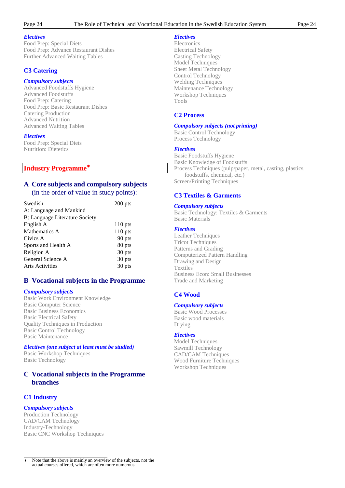#### *Electives*

Food Prep: Special Diets Food Prep: Advance Restaurant Dishes Further Advanced Waiting Tables

# **C3 Catering**

#### *Compulsory subjects*

Advanced Foodstuffs Hygiene Advanced Foodstuffs Food Prep: Catering Food Prep: Basic Restaurant Dishes Catering Production Advanced Nutrition Advanced Waiting Tables

#### *Electives*

Food Prep: Special Diets Nutrition: Dietetics

# **Industry Programme**✶

# **A Core subjects and compulsory subjects** (in the order of value in study points):

| Swedish                        | $200$ pts |
|--------------------------------|-----------|
| A: Language and Mankind        |           |
| B: Language Literature Society |           |
| English A                      | $110$ pts |
| Mathematics A                  | $110$ pts |
| Civics A                       | 90 pts    |
| Sports and Health A            | 80 pts    |
| Religion A                     | 30 pts    |
| General Science A              | 30 pts    |
| <b>Arts Activities</b>         | 30 pts    |

# **B Vocational subjects in the Programme**

#### *Compulsory subjects*

Basic Work Environment Knowledge Basic Computer Science Basic Business Economics Basic Electrical Safety Quality Techniques in Production Basic Control Technology Basic Maintenance

#### *Electives (one subject at least must be studied)*

Basic Workshop Techniques Basic Technology

# **C Vocational subjects in the Programme branches**

### **C1 Industry**

### *Compulsory subjects*

Production Technology CAD/CAM Technology Industry-Technology Basic CNC Workshop Techniques

# *Electives*

**Electronics** Electrical Safety Casting Technology Model Techniques Sheet Metal Technology Control Technology Welding Techniques Maintenance Technology Workshop Techniques Tools

#### **C2 Process**

### *Compulsory subjects (not printing)*

Basic Control Technology Process Technology

#### *Electives*

Basic Foodstuffs Hygiene Basic Knowledge of Foodstuffs Process Techniques (pulp/paper, metal, casting, plastics, foodstuffs, chemical, etc.) Screen/Printing Techniques

# **C3 Textiles & Garments**

#### *Compulsory subjects*

Basic Technology: Textiles & Garments Basic Materials

#### *Electives*

Leather Techniques Tricot Techniques Patterns and Grading Computerized Pattern Handling Drawing and Design Textiles Business Econ: Small Businesses Trade and Marketing

# **C4 Wood**

### *Compulsory subjects*

Basic Wood Processes Basic wood materials Drying

### *Electives*

Model Techniques Sawmill Technology CAD/CAM Techniques Wood Furniture Techniques Workshop Techniques

 $\overline{1}$ Note that the above is mainly an overview of the subjects, not the actual courses offered, which are often more numerous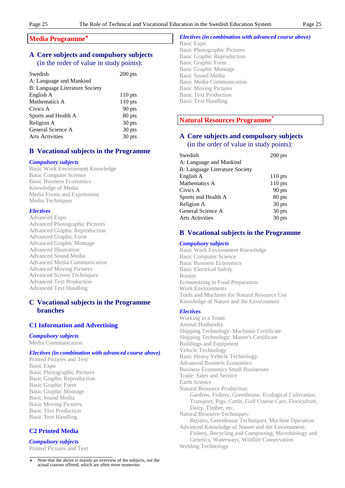### **Media Programme**✶

# **A Core subjects and compulsory subjects** (in the order of value in study points):

| Swedish                        | $200$ pts |
|--------------------------------|-----------|
| A: Language and Mankind        |           |
| B: Language Literature Society |           |
| English A                      | $110$ pts |
| Mathematics A                  | $110$ pts |
| Civics A                       | 90 pts    |
| Sports and Health A            | 80 pts    |
| Religion A                     | 30 pts    |
| General Science A              | 30 pts    |
| <b>Arts Activities</b>         | 30 pts    |

# **B Vocational subjects in the Programme**

#### *Compulsory subjects*

Basic Work Environment Knowledge Basic Computer Science Basic Business Economics Knowledge of Media Media Forms and Expressions Media Techniques

#### *Electives*

Advanced Expo Advanced Photographic Pictures Advanced Graphic Reproduction Advanced Graphic Form Advanced Graphic Montage Advanced Illustration Advanced Sound Media Advanced Media Communication Advanced Moving Pictures Advanced Screen Techniques Advanced Text Production Advanced Text Handling

# **C Vocational subjects in the Programme branches**

### **C1 Information and Advertising**

# *Compulsory subjects*

Media Communication

#### *Electives (in combination with advanced course above)*

Printed Pictures and Text Basic Expo Basic Photographic Pictures Basic Graphic Reproduction Basic Graphic Form Basic Graphic Montage Basic Sound Media Basic Moving Pictures Basic Text Production Basic Text Handling

# **C2 Printed Media**

#### *Compulsory subjects*

Printed Pictures and Text

 $\overline{1}$ Note that the above is mainly an overview of the subjects, not the actual courses offered, which are often more numerous

#### *Electives (in combination with advanced course above)*

Basic Expo Basic Photographic Pictures Basic Graphic Reproduction Basic Graphic Form Basic Graphic Montage Basic Sound Media Basic Media Communication Basic Moving Pictures Basic Text Production Basic Text Handling

# **Natural Resources Programme\***

# **A Core subjects and compulsory subjects** (in the order of value in study points):

| Swedish                        | $200$ pts |
|--------------------------------|-----------|
| A: Language and Mankind        |           |
| B: Language Literature Society |           |
| English A                      | $110$ pts |
| Mathematics A                  | $110$ pts |
| Civics A                       | 90 pts    |
| Sports and Health A            | 80 pts    |
| Religion A                     | 30 pts    |
| General Science A              | 30 pts    |
| <b>Arts Activities</b>         | 30 pts    |

# **B Vocational subjects in the Programme**

#### *Compulsory subjects*

Basic Work Environment Knowledge Basic Computer Science Basic Business Economics Basic Electrical Safety Botany Economizing in Food Preparation Work Environments Tools and Machines for Natural Resource Use Knowledge of Nature and the Environment

#### *Electives*

Working in a Team Animal Husbandry Shipping Technology: Machinist Certificate Shipping Technology: Master's Certificate Buildings and Equipment Vehicle Technology Basic Heavy Vehicle Technology Advanced Business Economics Business Economics Small Businesses Trade: Sales and Service Earth Science Natural Resource Production: Gardens, Fishery, Greenhouse, Ecological Cultivation, Transport, Pigs, Cattle, Golf Course Care, Floriculture, Dairy, Timber, etc. Natural Resource Techniques: Repairs, Greenhouse Techniques, Machine Operation Advanced Knowledge of Nature and the Environment: Fishery, Recycling and Composting, Microbiology and Genetics, Waterways, Wildlife Conservation Welding Technology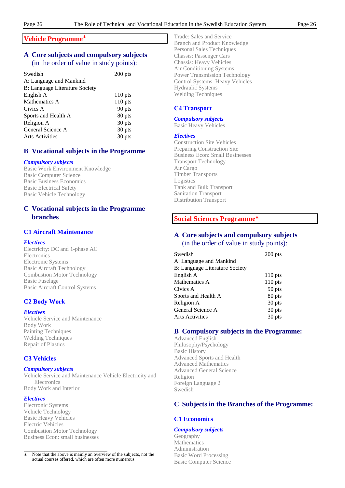### **Vehicle Programme**✶

# **A Core subjects and compulsory subjects** (in the order of value in study points):

| Swedish                        | $200$ pts |
|--------------------------------|-----------|
| A: Language and Mankind        |           |
| B: Language Literature Society |           |
| English A                      | $110$ pts |
| Mathematics A                  | $110$ pts |
| Civics A                       | 90 pts    |
| Sports and Health A            | 80 pts    |
| Religion A                     | 30 pts    |
| General Science A              | 30 pts    |
| <b>Arts Activities</b>         | 30 pts    |

# **B Vocational subjects in the Programme**

# *Compulsory subjects*

Basic Work Environment Knowledge Basic Computer Science Basic Business Economics Basic Electrical Safety Basic Vehicle Technology

# **C Vocational subjects in the Programme branches**

# **C1 Aircraft Maintenance**

# *Electives*

Electricity: DC and 1-phase AC **Electronics** Electronic Systems Basic Aircraft Technology Combustion Motor Technology Basic Fuselage Basic Aircraft Control Systems

# **C2 Body Work**

# *Electives*

Vehicle Service and Maintenance Body Work Painting Techniques Welding Techniques Repair of Plastics

# **C3 Vehicles**

# *Compulsory subjects*

Vehicle Service and Maintenance Vehicle Electricity and **Electronics** Body Work and Interior

# *Electives*

Electronic Systems Vehicle Technology Basic Heavy Vehicles Electric Vehicles Combustion Motor Technology Business Econ: small businesses Trade: Sales and Service Branch and Product Knowledge Personal Sales Techniques Chassis: Passenger Cars Chassis: Heavy Vehicles Air Conditioning Systems Power Transmission Technology Control Systems: Heavy Vehicles Hydraulic Systems Welding Techniques

# **C4 Transport**

#### *Compulsory subjects*

Basic Heavy Vehicles

#### *Electives*

Construction Site Vehicles Preparing Construction Site Business Econ: Small Businesses Transport Technology Air Cargo Timber Transports Logistics Tank and Bulk Transport Sanitation Transport Distribution Transport

# **Social Sciences Programme\***

# **A Core subjects and compulsory subjects** (in the order of value in study points):

| Swedish                               | $200$ pts |
|---------------------------------------|-----------|
| A: Language and Mankind               |           |
| <b>B: Language Literature Society</b> |           |
| English A                             | $110$ pts |
| Mathematics A                         | $110$ pts |
| Civics A                              | 90 pts    |
| Sports and Health A                   | 80 pts    |
| Religion A                            | 30 pts    |
| General Science A                     | 30 pts    |
| <b>Arts Activities</b>                | 30 pts    |
|                                       |           |

# **B Compulsory subjects in the Programme:**

Advanced English Philosophy/Psychology Basic History Advanced Sports and Health Advanced Mathematics Advanced General Science Religion Foreign Language 2 Swedish

# **C Subjects in the Branches of the Programme:**

# **C1 Economics**

### *Compulsory subjects*

Geography Mathematics Administration Basic Word Processing Basic Computer Science

 $\overline{1}$ Note that the above is mainly an overview of the subjects, not the actual courses offered, which are often more numerous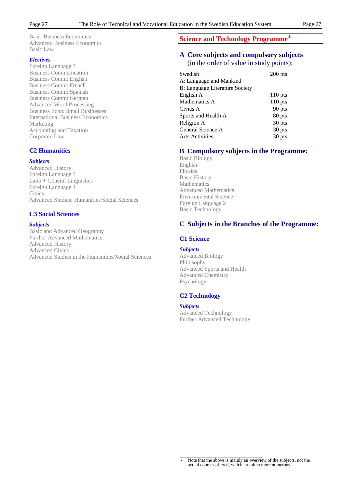Basic Business Economics Advanced Business Economics Basic Law

#### *Electives*

Foreign Language 3 Business Communication Business Comm: English Business Comm: French Business Comm: Spanish Business Comm: German Advanced Word Processing Business Econ: Small Businesses International Business Economics Marketing Accounting and Taxation Corporate Law

# **C2 Humanities**

#### *Subjects*

Advanced History Foreign Language 3 Latin + General Linguistics Foreign Language 4 **Civics** Advanced Studies: Humanities/Social Sciences

#### **C3 Social Sciences**

#### *Subjects*

Basic and Advanced Geography Further Advanced Mathematics Advanced History Advanced Civics Advanced Studies in the Humanities/Social Sciences

# **Science and Technology Programme**✶

# **A Core subjects and compulsory subjects** (in the order of value in study points):

| Swedish                               | $200$ pts |
|---------------------------------------|-----------|
| A: Language and Mankind               |           |
| <b>B: Language Literature Society</b> |           |
| English A                             | $110$ pts |
| Mathematics A                         | $110$ pts |
| Civics A                              | 90 pts    |
| Sports and Health A                   | 80 pts    |
| Religion A                            | 30 pts    |
| General Science A                     | 30 pts    |
| <b>Arts Activities</b>                | 30 pts    |

# **B Compulsory subjects in the Programme:**

Basic Biology English **Physics** Basic History Mathematics Advanced Mathematics Environmental Science Foreign Language 2 Basic Technology

### **C Subjects in the Branches of the Programme:**

#### **C1 Science**

#### *Subjects*

Advanced Biology Philosophy Advanced Sports and Health Advanced Chemistry Psychology

# **C2 Technology**

#### *Subjects*

Advanced Technology Further Advanced Technology

 $\overline{1}$ Note that the above is mainly an overview of the subjects, not the actual courses offered, which are often more numerous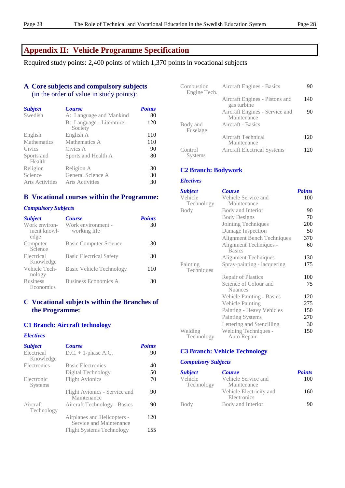# **Appendix II: Vehicle Programme Specification**

Required study points: 2,400 points of which 1,370 points in vocational subjects

# **A Core subjects and compulsory subjects** (in the order of value in study points):

| <b>Subject</b>         | <b>Course</b>                         | <b>Points</b> |
|------------------------|---------------------------------------|---------------|
| Swedish                | A: Language and Mankind               | 80            |
|                        | B: Language - Literature -<br>Society | 120           |
| English                | English A                             | 110           |
| <b>Mathematics</b>     | Mathematics A                         | 110           |
| Civics                 | Civics A                              | 90            |
| Sports and<br>Health   | Sports and Health A                   | 80            |
| Religion               | Religion A                            | 30            |
| Science                | General Science A                     | 30            |
| <b>Arts Activities</b> | <b>Arts Activities</b>                | 30            |

# **B Vocational courses within the Programme:**

### *Compulsory Subjects*

| <b>Subject</b>                       | <b>Course</b>                      | <b>Points</b> |
|--------------------------------------|------------------------------------|---------------|
| Work environ-<br>ment knowl-<br>edge | Work environment -<br>working life | 30            |
| Computer<br>Science                  | <b>Basic Computer Science</b>      | 30            |
| Electrical<br>Knowledge              | <b>Basic Electrical Safety</b>     | 30            |
| Vehicle Tech-<br>nology              | <b>Basic Vehicle Technology</b>    | 110           |
| <b>Business</b><br>Economics         | Business Economics A               | 30            |

# **C Vocational subjects within the Branches of the Programme:**

# **C1 Branch: Aircraft technology**

#### *Electives*

| <b>Subject</b>          | <b>Course</b>                                          | <b>Points</b> |
|-------------------------|--------------------------------------------------------|---------------|
| Electrical<br>Knowledge | $D.C. + 1$ -phase A.C.                                 | 90            |
| Electronics             | <b>Basic Electronics</b>                               | 40            |
|                         | Digital Technology                                     | 50            |
| Electronic<br>Systems   | <b>Flight Avionics</b>                                 | 70            |
|                         | Flight Avionics - Service and<br>Maintenance           | 90            |
| Aircraft<br>Technology  | Aircraft Technology - Basics                           | 90            |
|                         | Airplanes and Helicopters -<br>Service and Maintenance | 120           |
|                         | <b>Flight Systems Technology</b>                       | 155           |

| Combustion<br>Engine Tech. | Aircraft Engines - Basics                     | 90  |
|----------------------------|-----------------------------------------------|-----|
|                            | Aircraft Engines - Pistons and<br>gas turbine | 140 |
|                            | Aircraft Engines - Service and<br>Maintenance | 90  |
| Body and<br>Fuselage       | Aircraft - Basics                             |     |
|                            | Aircraft Technical<br>Maintenance             | 120 |
| Control<br>Systems         | <b>Aircraft Electrical Systems</b>            | 120 |

# **C2 Branch: Bodywork**

#### *Electives*

| <b>Subject</b>         | <b>Course</b>                           | <b>Points</b> |
|------------------------|-----------------------------------------|---------------|
| Vehicle<br>Technology  | Vehicle Service and<br>Maintenance      | 100           |
| Body                   | Body and Interior                       | 90            |
|                        | <b>Body Designs</b>                     | 70            |
|                        | Jointing Techniques                     | 200           |
|                        | Damage Inspection                       | 50            |
|                        | <b>Alignment Bench Techniques</b>       | 370           |
|                        | Alignment Techniques -<br><b>Basics</b> | 60            |
|                        | <b>Alignment Techniques</b>             | 130           |
| Painting<br>Techniques | Spray-painting - lacquering             | 175           |
|                        | <b>Repair of Plastics</b>               | 100           |
|                        | Science of Colour and<br><b>Nuances</b> | 75            |
|                        | <b>Vehicle Painting - Basics</b>        | 120           |
|                        | Vehicle Painting                        | 275           |
|                        | Painting - Heavy Vehicles               | 150           |
|                        | <b>Painting Systems</b>                 | 270           |
|                        | Lettering and Stencilling               | 30            |
| Welding<br>Technology  | Welding Techniques -<br>Auto Repair     | 150           |

# **C3 Branch: Vehicle Technology**

### *Compulsory Subjects*

| <b>Subject</b>        | <b>Course</b>                          | <b>Points</b> |
|-----------------------|----------------------------------------|---------------|
| Vehicle<br>Technology | Vehicle Service and<br>Maintenance     | 100           |
|                       | Vehicle Electricity and<br>Electronics | 160           |
| Body                  | Body and Interior                      | 90            |